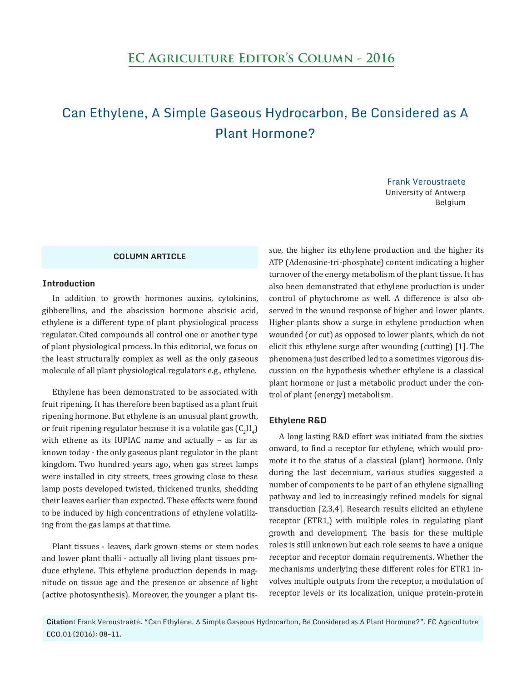# Can Ethylene, A Simple Gaseous Hydrocarbon, Be Considered as A Plant Hormone?

Frank Veroustraete University of Antwerp Belgium

# **COLUMN ARTICLE**

### **Introduction**

In addition to growth hormones auxins, cytokinins, gibberellins, and the abscission hormone abscisic acid, ethylene is a different type of plant physiological process regulator. Cited compounds all control one or another type of plant physiological process. In this editorial, we focus on the least structurally complex as well as the only gaseous molecule of all plant physiological regulators e.g., ethylene.

Ethylene has been demonstrated to be associated with fruit ripening. It has therefore been baptised as a plant fruit ripening hormone. But ethylene is an unusual plant growth, or fruit ripening regulator because it is a volatile gas  $(\mathsf{C}_2\mathsf{H}_4)$ with ethene as its IUPIAC name and actually – as far as known today - the only gaseous plant regulator in the plant kingdom. Two hundred years ago, when gas street lamps were installed in city streets, trees growing close to these lamp posts developed twisted, thickened trunks, shedding their leaves earlier than expected. These effects were found to be induced by high concentrations of ethylene volatilizing from the gas lamps at that time.

Plant tissues - leaves, dark grown stems or stem nodes and lower plant thalli - actually all living plant tissues produce ethylene. This ethylene production depends in magnitude on tissue age and the presence or absence of light (active photosynthesis). Moreover, the younger a plant tissue, the higher its ethylene production and the higher its ATP (Adenosine-tri-phosphate) content indicating a higher turnover of the energy metabolism of the plant tissue. It has also been demonstrated that ethylene production is under control of phytochrome as well. A difference is also observed in the wound response of higher and lower plants. Higher plants show a surge in ethylene production when wounded (or cut) as opposed to lower plants, which do not elicit this ethylene surge after wounding (cutting) [1]. The phenomena just described led to a sometimes vigorous discussion on the hypothesis whether ethylene is a classical plant hormone or just a metabolic product under the control of plant (energy) metabolism.

#### **Ethylene R&D**

A long lasting R&D effort was initiated from the sixties onward, to find a receptor for ethylene, which would promote it to the status of a classical (plant) hormone. Only during the last decennium, various studies suggested a number of components to be part of an ethylene signalling pathway and led to increasingly refined models for signal transduction [2,3,4]. Research results elicited an ethylene receptor (ETR1,) with multiple roles in regulating plant growth and development. The basis for these multiple roles is still unknown but each role seems to have a unique receptor and receptor domain requirements. Whether the mechanisms underlying these different roles for ETR1 involves multiple outputs from the receptor, a modulation of receptor levels or its localization, unique protein-protein

**Citation:** Frank Veroustraete. "Can Ethylene, A Simple Gaseous Hydrocarbon, Be Considered as A Plant Hormone?". EC Agricultutre ECO.01 (2016): 08-11.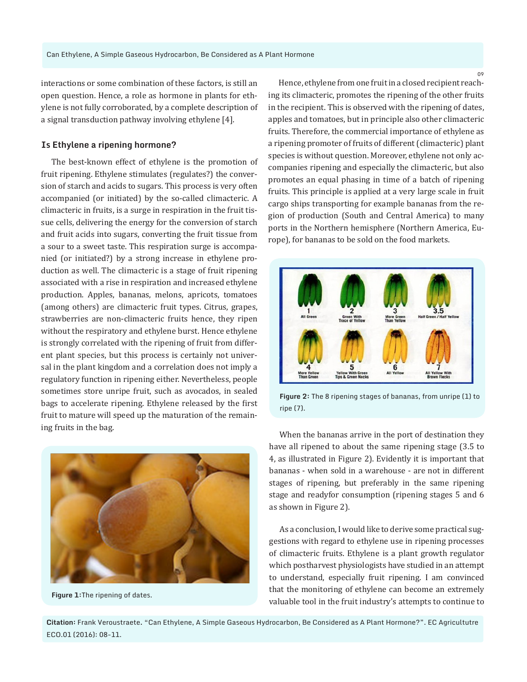interactions or some combination of these factors, is still an open question. Hence, a role as hormone in plants for ethylene is not fully corroborated, by a complete description of a signal transduction pathway involving ethylene [4].

#### **Is Ethylene a ripening hormone?**

The best-known effect of ethylene is the promotion of fruit ripening. Ethylene stimulates (regulates?) the conversion of starch and acids to sugars. This process is very often accompanied (or initiated) by the so-called climacteric. A climacteric in fruits, is a surge in respiration in the fruit tissue cells, delivering the energy for the conversion of starch and fruit acids into sugars, converting the fruit tissue from a sour to a sweet taste. This respiration surge is accompanied (or initiated?) by a strong increase in ethylene production as well. The climacteric is a stage of fruit ripening associated with a rise in respiration and increased ethylene production. Apples, bananas, melons, apricots, tomatoes (among others) are climacteric fruit types. Citrus, grapes, strawberries are non-climacteric fruits hence, they ripen without the respiratory and ethylene burst. Hence ethylene is strongly correlated with the ripening of fruit from different plant species, but this process is certainly not universal in the plant kingdom and a correlation does not imply a regulatory function in ripening either. Nevertheless, people sometimes store unripe fruit, such as avocados, in sealed bags to accelerate ripening. Ethylene released by the first fruit to mature will speed up the maturation of the remaining fruits in the bag.



**Figure 1:**The ripening of dates.

Hence, ethylene from one fruit in a closed recipient reaching its climacteric, promotes the ripening of the other fruits in the recipient. This is observed with the ripening of dates, apples and tomatoes, but in principle also other climacteric fruits. Therefore, the commercial importance of ethylene as a ripening promoter of fruits of different (climacteric) plant species is without question. Moreover, ethylene not only accompanies ripening and especially the climacteric, but also promotes an equal phasing in time of a batch of ripening fruits. This principle is applied at a very large scale in fruit cargo ships transporting for example bananas from the region of production (South and Central America) to many ports in the Northern hemisphere (Northern America, Europe), for bananas to be sold on the food markets.



**Figure 2:** The 8 ripening stages of bananas, from unripe (1) to ripe (7).

When the bananas arrive in the port of destination they have all ripened to about the same ripening stage (3.5 to 4, as illustrated in Figure 2). Evidently it is important that bananas - when sold in a warehouse - are not in different stages of ripening, but preferably in the same ripening stage and readyfor consumption (ripening stages 5 and 6 as shown in Figure 2).

As a conclusion, I would like to derive some practical suggestions with regard to ethylene use in ripening processes of climacteric fruits. Ethylene is a plant growth regulator which postharvest physiologists have studied in an attempt to understand, especially fruit ripening. I am convinced that the monitoring of ethylene can become an extremely valuable tool in the fruit industry's attempts to continue to

**Citation:** Frank Veroustraete. "Can Ethylene, A Simple Gaseous Hydrocarbon, Be Considered as A Plant Hormone?". EC Agricultutre ECO.01 (2016): 08-11.

09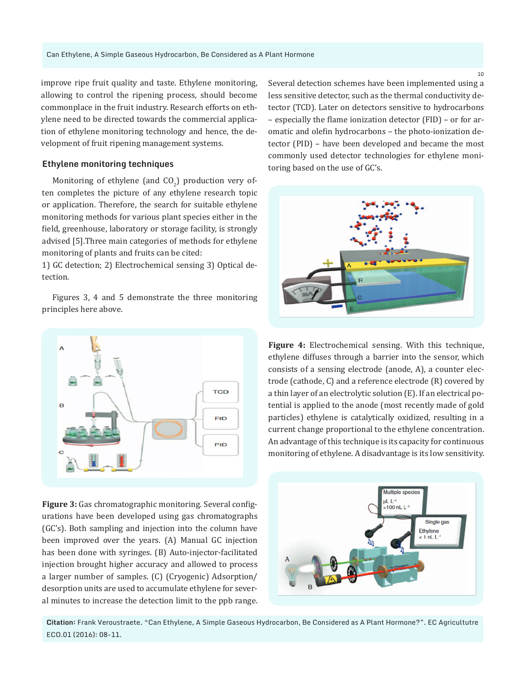improve ripe fruit quality and taste. Ethylene monitoring, allowing to control the ripening process, should become commonplace in the fruit industry. Research efforts on ethylene need to be directed towards the commercial application of ethylene monitoring technology and hence, the development of fruit ripening management systems.

#### **Ethylene monitoring techniques**

Monitoring of ethylene (and  $CO_{2}$ ) production very often completes the picture of any ethylene research topic or application. Therefore, the search for suitable ethylene monitoring methods for various plant species either in the field, greenhouse, laboratory or storage facility, is strongly advised [5].Three main categories of methods for ethylene monitoring of plants and fruits can be cited:

1) GC detection; 2) Electrochemical sensing 3) Optical detection.

Figures 3, 4 and 5 demonstrate the three monitoring principles here above.



**Figure 3:** Gas chromatographic monitoring. Several configurations have been developed using gas chromatographs (GC's). Both sampling and injection into the column have been improved over the years. (A) Manual GC injection has been done with syringes. (B) Auto-injector-facilitated injection brought higher accuracy and allowed to process a larger number of samples. (C) (Cryogenic) Adsorption/ desorption units are used to accumulate ethylene for several minutes to increase the detection limit to the ppb range. Several detection schemes have been implemented using a less sensitive detector, such as the thermal conductivity detector (TCD). Later on detectors sensitive to hydrocarbons – especially the flame ionization detector (FID) – or for aromatic and olefin hydrocarbons – the photo-ionization detector (PID) – have been developed and became the most commonly used detector technologies for ethylene monitoring based on the use of GC's.



**Figure 4:** Electrochemical sensing. With this technique, ethylene diffuses through a barrier into the sensor, which consists of a sensing electrode (anode, A), a counter electrode (cathode, C) and a reference electrode (R) covered by a thin layer of an electrolytic solution (E). If an electrical potential is applied to the anode (most recently made of gold particles) ethylene is catalytically oxidized, resulting in a current change proportional to the ethylene concentration. An advantage of this technique is its capacity for continuous monitoring of ethylene. A disadvantage is its low sensitivity.



**Citation:** Frank Veroustraete. "Can Ethylene, A Simple Gaseous Hydrocarbon, Be Considered as A Plant Hormone?". EC Agricultutre ECO.01 (2016): 08-11.